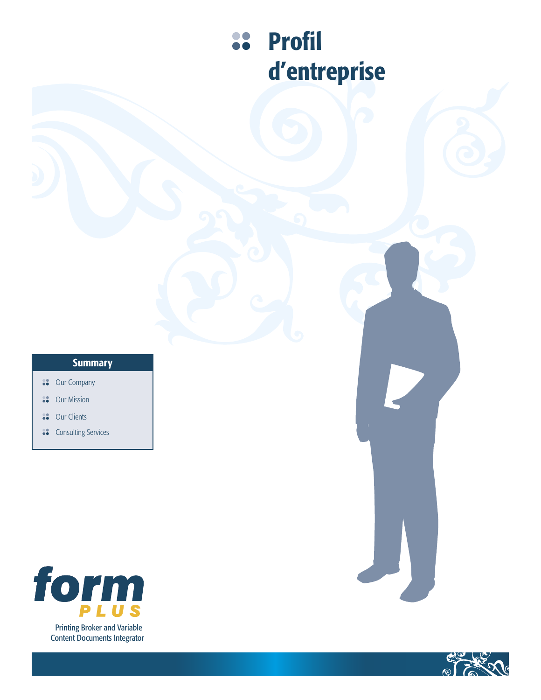# 88 Profil d'entreprise

# **Summary**

- **88** Our Company
- Our Mission 88
- Our Clients 88
- **Consulting Services**



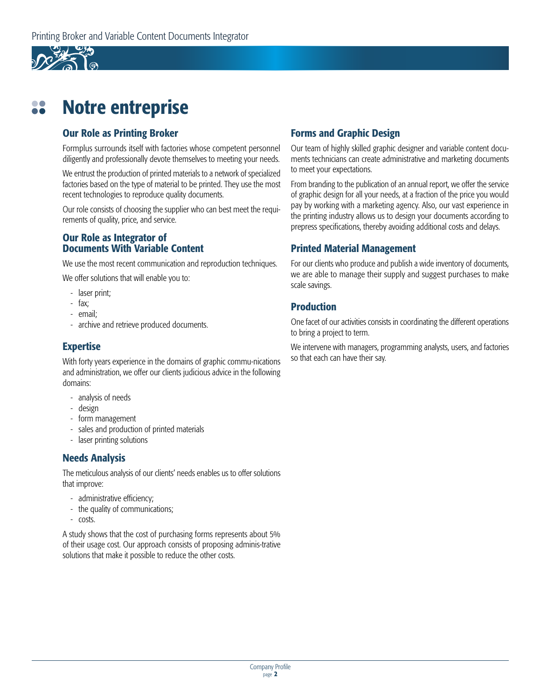

## Notre entreprise 88

## Our Role as Printing Broker

Formplus surrounds itself with factories whose competent personnel diligently and professionally devote themselves to meeting your needs.

We entrust the production of printed materials to a network of specialized factories based on the type of material to be printed. They use the most recent technologies to reproduce quality documents.

Our role consists of choosing the supplier who can best meet the requirements of quality, price, and service.

## Our Role as Integrator of Documents With Variable Content

We use the most recent communication and reproduction techniques.

We offer solutions that will enable you to:

- laser print;
- fax;
- email;
- archive and retrieve produced documents.

# Expertise

With forty years experience in the domains of graphic commu-nications and administration, we offer our clients judicious advice in the following domains:

- analysis of needs
- design
- form management
- sales and production of printed materials
- laser printing solutions

# Needs Analysis

The meticulous analysis of our clients' needs enables us to offer solutions that improve:

- administrative efficiency;
- the quality of communications;
- costs.

A study shows that the cost of purchasing forms represents about 5% of their usage cost. Our approach consists of proposing adminis-trative solutions that make it possible to reduce the other costs.

# Forms and Graphic Design

Our team of highly skilled graphic designer and variable content documents technicians can create administrative and marketing documents to meet your expectations.

From branding to the publication of an annual report, we offer the service of graphic design for all your needs, at a fraction of the price you would pay by working with a marketing agency. Also, our vast experience in the printing industry allows us to design your documents according to prepress specifications, thereby avoiding additional costs and delays.

# Printed Material Management

For our clients who produce and publish a wide inventory of documents. we are able to manage their supply and suggest purchases to make scale savings.

## Production

One facet of our activities consists in coordinating the different operations to bring a project to term.

We intervene with managers, programming analysts, users, and factories so that each can have their say.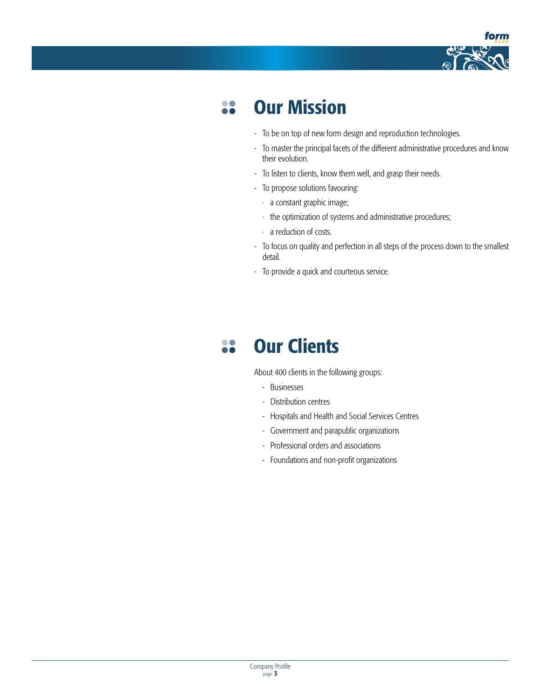

## Our Mission 88

- To be on top of new form design and reproduction technologies.
- To master the principal facets of the different administrative procedures and know their evolution.
- To listen to clients, know them well, and grasp their needs.
- To propose solutions favouring:
	- · a constant graphic image;
- · the optimization of systems and administrative procedures;
- · a reduction of costs.
- To focus on quality and perfection in all steps of the process down to the smallest detail.
- To provide a quick and courteous service.

## Our Clients 88

About 400 clients in the following groups:

- Businesses
- Distribution centres
- Hospitals and Health and Social Services Centres
- Government and parapublic organizations
- Professional orders and associations
- Foundations and non-profit organizations